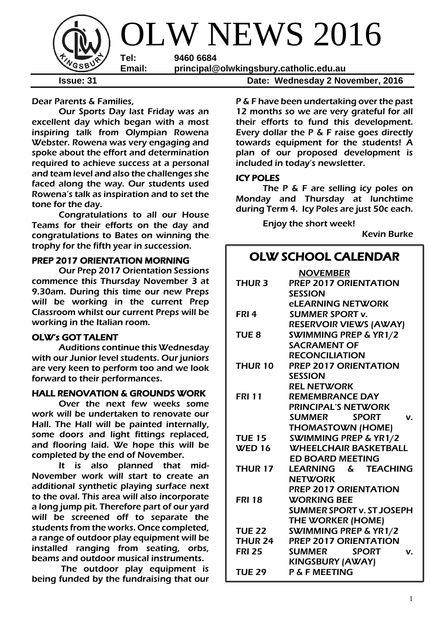

Dear Parents & Families,

Our Sports Day last Friday was an excellent day which began with a most inspiring talk from Olympian Rowena Webster. Rowena was very engaging and spoke about the effort and determination required to achieve success at a personal and team level and also the challenges she faced along the way. Our students used Rowena's talk as inspiration and to set the tone for the day.

Congratulations to all our House Teams for their efforts on the day and congratulations to Bates on winning the trophy for the fifth year in succession.

#### PREP 2017 ORIENTATION MORNING

Our Prep 2017 Orientation Sessions commence this Thursday November 3 at 9.30am. During this time our new Preps will be working in the current Prep Classroom whilst our current Preps will be working in the Italian room.

#### OLW's GOT TALENT

Auditions continue this Wednesday with our Junior level students. Our juniors are very keen to perform too and we look forward to their performances.

#### HALL RENOVATION & GROUNDS WORK

 Over the next few weeks some work will be undertaken to renovate our Hall. The Hall will be painted internally, some doors and light fittings replaced, and flooring laid. We hope this will be completed by the end of November.

It is also planned that mid-November work will start to create an additional synthetic playing surface next to the oval. This area will also incorporate a long jump pit. Therefore part of our yard will be screened off to separate the students from the works. Once completed, a range of outdoor play equipment will be installed ranging from seating, orbs, beams and outdoor musical instruments.

The outdoor play equipment is being funded by the fundraising that our

**Issue: 31 Date: Wednesday 2 November, 2016**

P & F have been undertaking over the past 12 months so we are very grateful for all their efforts to fund this development. Every dollar the P & F raise goes directly towards equipment for the students! A plan of our proposed development is included in today's newsletter.

#### ICY POLES

The P & F are selling icy poles on Monday and Thursday at lunchtime during Term 4. Icy Poles are just 50c each.

Enjoy the short week!

Kevin Burke

## OLW SCHOOL CALENDAR

|                   | <b>NOVEMBER</b>                     |  |  |
|-------------------|-------------------------------------|--|--|
| <b>THUR 3</b>     | <b>PREP 2017 ORIENTATION</b>        |  |  |
|                   | <b>SESSION</b>                      |  |  |
|                   | <b>eLEARNING NETWORK</b>            |  |  |
| FRI <sub>4</sub>  | <b>SUMMER SPORT v.</b>              |  |  |
|                   | <b>RESERVOIR VIEWS (AWAY)</b>       |  |  |
| TUE <sub>8</sub>  | <b>SWIMMING PREP &amp; YR1/2</b>    |  |  |
|                   | <b>SACRAMENT OF</b>                 |  |  |
|                   | <b>RECONCILIATION</b>               |  |  |
| <b>THUR 10</b>    | <b>PREP 2017 ORIENTATION</b>        |  |  |
|                   | <b>SESSION</b>                      |  |  |
|                   | <b>REL NETWORK</b>                  |  |  |
| <b>FRI 11</b>     | <b>REMEMBRANCE DAY</b>              |  |  |
|                   | <b>PRINCIPAL'S NETWORK</b>          |  |  |
|                   | <b>SUMMER</b><br><b>SPORT</b><br>V. |  |  |
|                   | <b>THOMASTOWN (HOME)</b>            |  |  |
| <b>TUE 15</b>     | SWIMMING PREP & YR1/2               |  |  |
| WED <sub>16</sub> | <b>WHEELCHAIR BASKETBALL</b>        |  |  |
|                   | <b>ED BOARD MEETING</b>             |  |  |
| THUR 17           | LEARNING & TEACHING                 |  |  |
|                   | <b>NETWORK</b>                      |  |  |
|                   | <b>PREP 2017 ORIENTATION</b>        |  |  |
| <b>FRI 18</b>     | <b>WORKING BEE</b>                  |  |  |
|                   | <b>SUMMER SPORT v. ST JOSEPH</b>    |  |  |
|                   | <b>THE WORKER (HOME)</b>            |  |  |
| <b>TUE 22</b>     | <b>SWIMMING PREP &amp; YR1/2</b>    |  |  |
|                   | THUR 24 PREP 2017 ORIENTATION       |  |  |
| <b>FRI 25</b>     | SUMMER SPORT<br>V.                  |  |  |
|                   | <b>KINGSBURY (AWAY)</b>             |  |  |
| <b>TUE 29</b>     | <b>P &amp; F MEETING</b>            |  |  |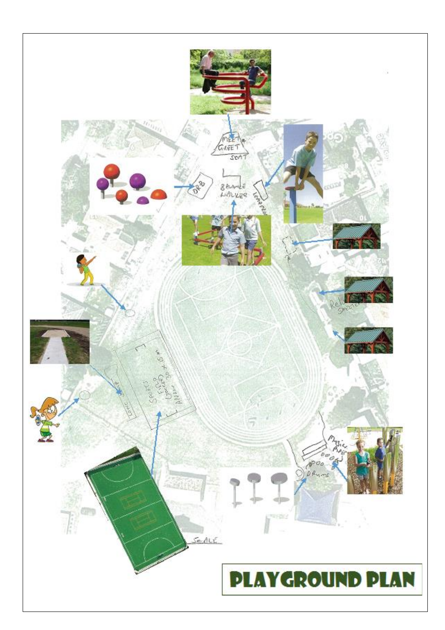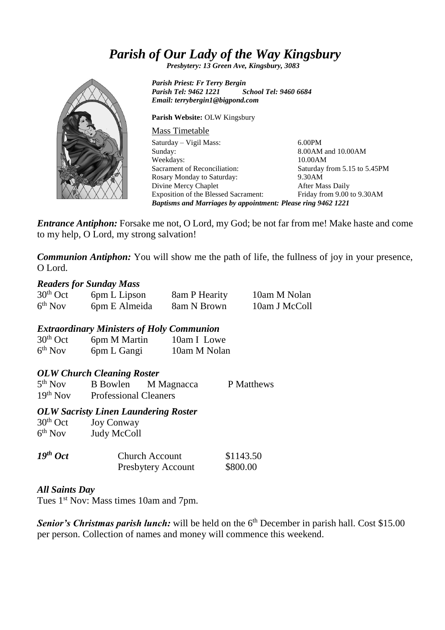# *Parish of Our Lady of the Way Kingsbury*

*Presbytery: 13 Green Ave, Kingsbury, 3083*

*Parish Priest: Fr Terry Bergin Parish Tel: 9462 1221 School Tel: 9460 6684 Email: terrybergin1@bigpond.com*

**Parish Website:** OLW Kingsbury

Mass Timetable

Saturday – Vigil Mass: Sunday: Weekdays: Sacrament of Reconciliation: Rosary Monday to Saturday: Divine Mercy Chaplet Exposition of the Blessed Sacrament: 6.00PM 8.00AM and 10.00AM 10.00AM Saturday from 5.15 to 5.45PM 9.30AM After Mass Daily Friday from 9.00 to 9.30AM *Baptisms and Marriages by appointment: Please ring 9462 1221*

*Entrance Antiphon:* Forsake me not, O Lord, my God; be not far from me! Make haste and come to my help, O Lord, my strong salvation!

*Communion Antiphon:* You will show me the path of life, the fullness of joy in your presence, O Lord.

## *Readers for Sunday Mass*

| $30th$ Oct          | 6pm L Lipson  | 8am P Hearity | 10am M Nolan  |
|---------------------|---------------|---------------|---------------|
| 6 <sup>th</sup> Nov | 6pm E Almeida | 8am N Brown   | 10am J McColl |

### *Extraordinary Ministers of Holy Communion*

| $30th$ Oct          | 6pm M Martin | 10am I Lowe  |
|---------------------|--------------|--------------|
| 6 <sup>th</sup> Nov | 6pm L Gangi  | 10am M Nolan |

## *OLW Church Cleaning Roster*

| 5 <sup>th</sup> Nov | <b>B</b> Bowlen              | M Magnacca | P Matthews |
|---------------------|------------------------------|------------|------------|
| $19th$ Nov          | <b>Professional Cleaners</b> |            |            |

### *OLW Sacristy Linen Laundering Roster*

| $30th$ Oct          | <b>Joy Conway</b>                                  |                       |  |
|---------------------|----------------------------------------------------|-----------------------|--|
| 6 <sup>th</sup> Nov | <b>Judy McColl</b>                                 |                       |  |
| $19th$ Oct          | <b>Church Account</b><br><b>Presbytery Account</b> | \$1143.50<br>\$800.00 |  |

## *All Saints Day*

Tues 1<sup>st</sup> Nov: Mass times 10am and 7pm.

**Senior's Christmas parish lunch:** will be held on the 6<sup>th</sup> December in parish hall. Cost \$15.00 per person. Collection of names and money will commence this weekend.